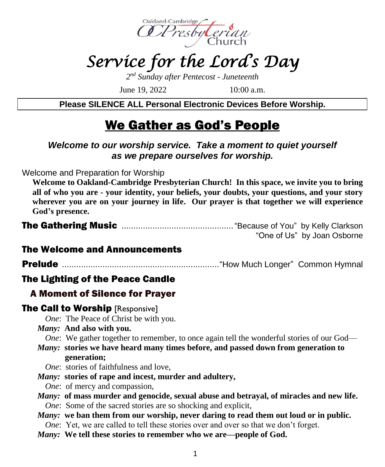

# *Service for the Lord's Day*

*2 nd Sunday after Pentecost - Juneteenth*

June 19, 2022 10:00 a.m.

**Please SILENCE ALL Personal Electronic Devices Before Worship.**

## We Gather as God's People

#### *Welcome to our worship service. Take a moment to quiet yourself as we prepare ourselves for worship.*

Welcome and Preparation for Worship

**Welcome to Oakland-Cambridge Presbyterian Church! In this space, we invite you to bring all of who you are - your identity, your beliefs, your doubts, your questions, and your story wherever you are on your journey in life. Our prayer is that together we will experience God's presence.**

|  | "One of Us" by Joan Osborne |  |
|--|-----------------------------|--|

#### The Welcome and Announcements

Prelude .................................................................."How Much Longer" Common Hymnal

#### The Lighting of the Peace Candle

#### A Moment of Silence for Prayer

#### **The Call to Worship [Responsive]**

*One*: The Peace of Christ be with you.

*Many:* **And also with you.**

*One*: We gather together to remember, to once again tell the wonderful stories of our God—

*Many:* **stories we have heard many times before, and passed down from generation to generation;**

*One*: stories of faithfulness and love.

*Many:* **stories of rape and incest, murder and adultery,**

*One*: of mercy and compassion,

- *Many:* **of mass murder and genocide, sexual abuse and betrayal, of miracles and new life.** *One*: Some of the sacred stories are so shocking and explicit,
- *Many:* **we ban them from our worship, never daring to read them out loud or in public.** *One*: Yet, we are called to tell these stories over and over so that we don't forget.
- *Many:* **We tell these stories to remember who we are—people of God.**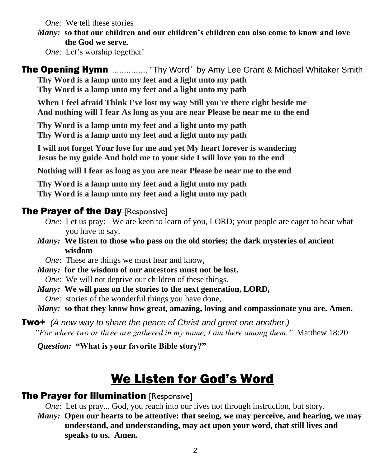*One*: We tell these stories

*Many:* **so that our children and our children's children can also come to know and love the God we serve.**

*One*: Let's worship together!

**The Opening Hymn** ................ "Thy Word" by Amy Lee Grant & Michael Whitaker Smith **Thy Word is a lamp unto my feet and a light unto my path Thy Word is a lamp unto my feet and a light unto my path**

**When I feel afraid Think I've lost my way Still you're there right beside me And nothing will I fear As long as you are near Please be near me to the end**

**Thy Word is a lamp unto my feet and a light unto my path Thy Word is a lamp unto my feet and a light unto my path**

**I will not forget Your love for me and yet My heart forever is wandering Jesus be my guide And hold me to your side I will love you to the end**

**Nothing will I fear as long as you are near Please be near me to the end**

**Thy Word is a lamp unto my feet and a light unto my path Thy Word is a lamp unto my feet and a light unto my path**

#### **The Prayer of the Day [Responsive]**

- *One*: Let us pray: We are keen to learn of you, LORD; your people are eager to hear what you have to say.
- *Many:* **We listen to those who pass on the old stories; the dark mysteries of ancient wisdom**
	- *One*: These are things we must hear and know,
- *Many:* **for the wisdom of our ancestors must not be lost.** *One*: We will not deprive our children of these things.
- *Many:* **We will pass on the stories to the next generation, LORD,** *One*: stories of the wonderful things you have done,
- *Many:* **so that they know how great, amazing, loving and compassionate you are. Amen.**

Two+ *(A new way to share the peace of Christ and greet one another.) "For where two or three are gathered in my name, I am there among them."* Matthew 18:20

*Question:* **"What is your favorite Bible story?"**

## We Listen for God's Word

#### **The Prayer for Illumination [Responsive]**

*One*: Let us pray... God, you reach into our lives not through instruction, but story.

*Many:* **Open our hearts to be attentive: that seeing, we may perceive, and hearing, we may understand, and understanding, may act upon your word, that still lives and speaks to us. Amen.**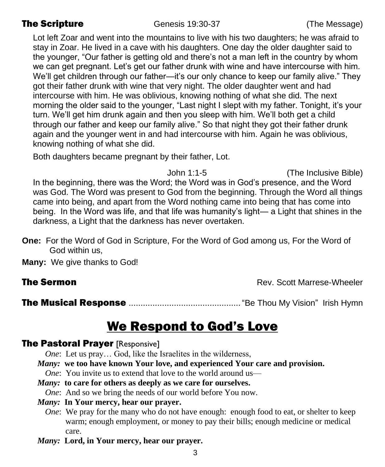**The Scripture** Genesis 19:30-37 (The Message)

Lot left Zoar and went into the mountains to live with his two daughters; he was afraid to stay in Zoar. He lived in a cave with his daughters. One day the older daughter said to the younger, "Our father is getting old and there's not a man left in the country by whom we can get pregnant. Let's get our father drunk with wine and have intercourse with him. We'll get children through our father—it's our only chance to keep our family alive." They got their father drunk with wine that very night. The older daughter went and had intercourse with him. He was oblivious, knowing nothing of what she did. The next morning the older said to the younger, "Last night I slept with my father. Tonight, it's your turn. We'll get him drunk again and then you sleep with him. We'll both get a child through our father and keep our family alive." So that night they got their father drunk again and the younger went in and had intercourse with him. Again he was oblivious, knowing nothing of what she did.

Both daughters became pregnant by their father, Lot.

John 1:1-5 (The Inclusive Bible) In the beginning, there was the Word; the Word was in God's presence, and the Word was God. The Word was present to God from the beginning. Through the Word all things came into being, and apart from the Word nothing came into being that has come into being. In the Word was life, and that life was humanity's light— a Light that shines in the darkness, a Light that the darkness has never overtaken.

- **One:** For the Word of God in Scripture, For the Word of God among us, For the Word of God within us,
- **Many:** We give thanks to God!

**The Sermon Rev. Scott Marrese-Wheeler Rev. Scott Marrese-Wheeler** 

The Musical Response ..............................................."Be Thou My Vision" Irish Hymn

## We Respond to God's Love

#### **The Pastoral Prayer [Responsive]**

*One*: Let us pray... God, like the Israelites in the wilderness,

*Many:* **we too have known Your love, and experienced Your care and provision.**

*One*: You invite us to extend that love to the world around us—

*Many:* **to care for others as deeply as we care for ourselves.**

*One*: And so we bring the needs of our world before You now.

#### *Many:* **In Your mercy, hear our prayer.**

- *One*: We pray for the many who do not have enough: enough food to eat, or shelter to keep warm; enough employment, or money to pay their bills; enough medicine or medical care.
- *Many:* **Lord, in Your mercy, hear our prayer.**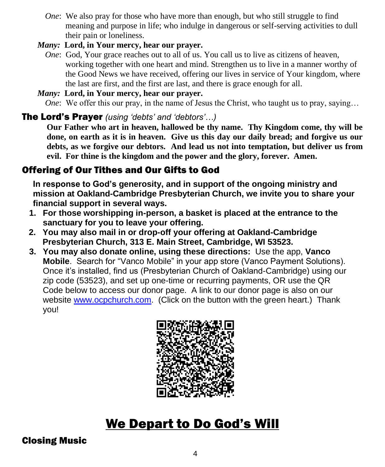- *One*: We also pray for those who have more than enough, but who still struggle to find meaning and purpose in life; who indulge in dangerous or self-serving activities to dull their pain or loneliness.
- *Many:* **Lord, in Your mercy, hear our prayer.**
	- *One*: God, Your grace reaches out to all of us. You call us to live as citizens of heaven, working together with one heart and mind. Strengthen us to live in a manner worthy of the Good News we have received, offering our lives in service of Your kingdom, where the last are first, and the first are last, and there is grace enough for all.

#### *Many:* **Lord, in Your mercy, hear our prayer.**

*One*: We offer this our pray, in the name of Jesus the Christ, who taught us to pray, saying...

#### The Lord's Prayer *(using 'debts' and 'debtors'…)*

**Our Father who art in heaven, hallowed be thy name. Thy Kingdom come, thy will be done, on earth as it is in heaven. Give us this day our daily bread; and forgive us our debts, as we forgive our debtors. And lead us not into temptation, but deliver us from evil. For thine is the kingdom and the power and the glory, forever. Amen.**

#### Offering of Our Tithes and Our Gifts to God

**In response to God's generosity, and in support of the ongoing ministry and mission at Oakland-Cambridge Presbyterian Church, we invite you to share your financial support in several ways.** 

- **1. For those worshipping in-person, a basket is placed at the entrance to the sanctuary for you to leave your offering.**
- **2. You may also mail in or drop-off your offering at Oakland-Cambridge Presbyterian Church, 313 E. Main Street, Cambridge, WI 53523.**
- **3. You may also donate online, using these directions:** Use the app, **Vanco Mobile**. Search for "Vanco Mobile" in your app store (Vanco Payment Solutions). Once it's installed, find us (Presbyterian Church of Oakland-Cambridge) using our zip code (53523), and set up one-time or recurring payments, OR use the QR Code below to access our donor page. A link to our donor page is also on our website [www.ocpchurch.com.](http://www.ocpchurch.com/) (Click on the button with the green heart.) Thank you!



## We Depart to Do God's Will

#### Closing Music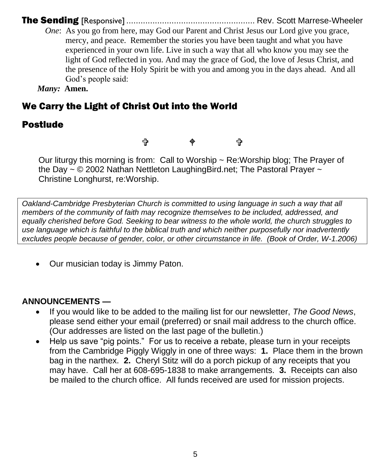The Sending [Responsive] ...................................................... Rev. Scott Marrese-Wheeler

*One*: As you go from here, may God our Parent and Christ Jesus our Lord give you grace, mercy, and peace. Remember the stories you have been taught and what you have experienced in your own life. Live in such a way that all who know you may see the light of God reflected in you. And may the grace of God, the love of Jesus Christ, and the presence of the Holy Spirit be with you and among you in the days ahead. And all God's people said:

*Many:* **Amen.**

### We Carry the Light of Christ Out into the World

### Postlude

t ቀ t

Our liturgy this morning is from: Call to Worship  $\sim$  Re:Worship blog; The Prayer of the Day  $\sim$  © 2002 Nathan Nettleton Laughing Bird.net; The Pastoral Prayer  $\sim$ Christine Longhurst, re:Worship.

*Oakland-Cambridge Presbyterian Church is committed to using language in such a way that all members of the community of faith may recognize themselves to be included, addressed, and equally cherished before God. Seeking to bear witness to the whole world, the church struggles to use language which is faithful to the biblical truth and which neither purposefully nor inadvertently excludes people because of gender, color, or other circumstance in life. (Book of Order, W-1.2006)*

• Our musician today is Jimmy Paton.

#### **ANNOUNCEMENTS —**

- If you would like to be added to the mailing list for our newsletter, *The Good News*, please send either your email (preferred) or snail mail address to the church office. (Our addresses are listed on the last page of the bulletin.)
- Help us save "pig points." For us to receive a rebate, please turn in your receipts from the Cambridge Piggly Wiggly in one of three ways: **1.** Place them in the brown bag in the narthex. **2.** Cheryl Stitz will do a porch pickup of any receipts that you may have. Call her at 608-695-1838 to make arrangements. **3.** Receipts can also be mailed to the church office. All funds received are used for mission projects.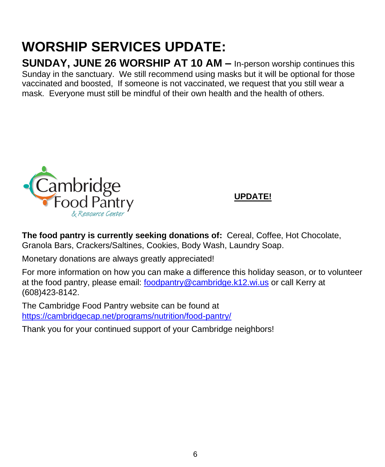# **WORSHIP SERVICES UPDATE:**

**SUNDAY, JUNE 26 WORSHIP AT 10 AM –** In-person worship continues this Sunday in the sanctuary. We still recommend using masks but it will be optional for those vaccinated and boosted, If someone is not vaccinated, we request that you still wear a mask. Everyone must still be mindful of their own health and the health of others.



#### **UPDATE!**

**The food pantry is currently seeking donations of:** Cereal, Coffee, Hot Chocolate, Granola Bars, Crackers/Saltines, Cookies, Body Wash, Laundry Soap.

Monetary donations are always greatly appreciated!

For more information on how you can make a difference this holiday season, or to volunteer at the food pantry, please email: [foodpantry@cambridge.k12.wi.us](mailto:foodpantry@cambridge.k12.wi.us) or call Kerry at (608)423-8142.

The Cambridge Food Pantry website can be found at <https://cambridgecap.net/programs/nutrition/food-pantry/>

Thank you for your continued support of your Cambridge neighbors!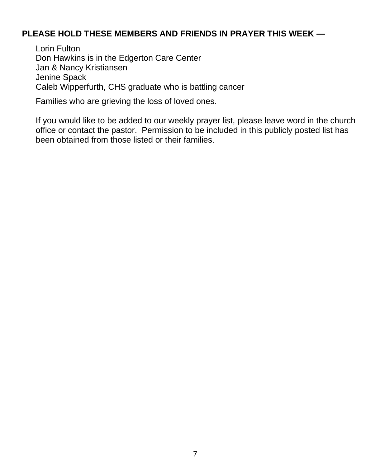#### **PLEASE HOLD THESE MEMBERS AND FRIENDS IN PRAYER THIS WEEK —**

Lorin Fulton Don Hawkins is in the Edgerton Care Center Jan & Nancy Kristiansen Jenine Spack Caleb Wipperfurth, CHS graduate who is battling cancer

Families who are grieving the loss of loved ones.

If you would like to be added to our weekly prayer list, please leave word in the church office or contact the pastor. Permission to be included in this publicly posted list has been obtained from those listed or their families.